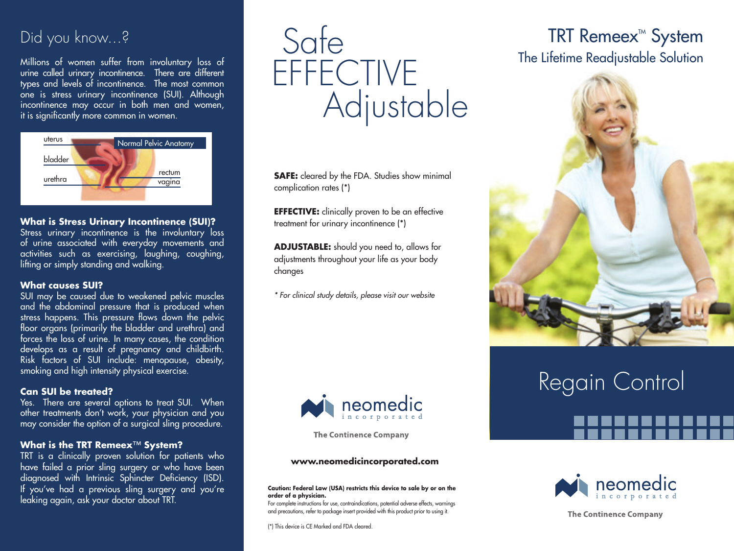### Did you know...?

Millions of women suffer from involuntary loss of urine called urinary incontinence. There are different types and levels of incontinence. The most common one is stress urinary incontinence (SUI). Although incontinence may occur in both men and women, it is significantly more common in women.



### **What is Stress Urinary Incontinence (SUI)?**

Stress urinary incontinence is the involuntary loss of urine associated with everyday movements and activities such as exercising, laughing, coughing, lifting or simply standing and walking.

### **What causes SUI?**

SUI may be caused due to weakened pelvic muscles and the abdominal pressure that is produced when stress happens. This pressure flows down the pelvic floor organs (primarily the bladder and urethra) and forces the loss of urine. In many cases, the condition develops as a result of pregnancy and childbirth. Risk factors of SUI include: menopause, obesity, smoking and high intensity physical exercise.

### **Can SUI be treated?**

Yes. There are several options to treat SUI. When other treatments don't work, your physician and you may consider the option of a surgical sling procedure.

### **What is the TRT Remeex**™ **System?**

TRT is a clinically proven solution for patients who have failed a prior sling surgery or who have been diagnosed with Intrinsic Sphincter Deficiency (ISD). If you've had a previous sling surgery and you're leaking again, ask your doctor about TRT.

# Safe **EFFECTIVE Adjustable**

**SAFE:** cleared by the FDA. Studies show minimal complication rates (\*)

**EFFECTIVE:** clinically proven to be an effective treatment for urinary incontinence (\*)

**ADJUSTABLE:** should you need to, allows for adjustments throughout your life as your body changes

*\* For clinical study details, please visit our website*



**The Continence Company** 

#### **www.neomedicincorporated.com**

**Caution: Federal Law (USA) restricts this device to sale by or on the order of a physician.**

For complete instructions for use, contraindications, potential adverse effects, warnings and precautions, refer to package insert provided with this product prior to using it.

(\*) This device is CE Marked and FDA cleared.

## **TRT Remeex<sup>™</sup> System** The Lifetime Readjustable Solution



# Regain Control



**The Continence Company**